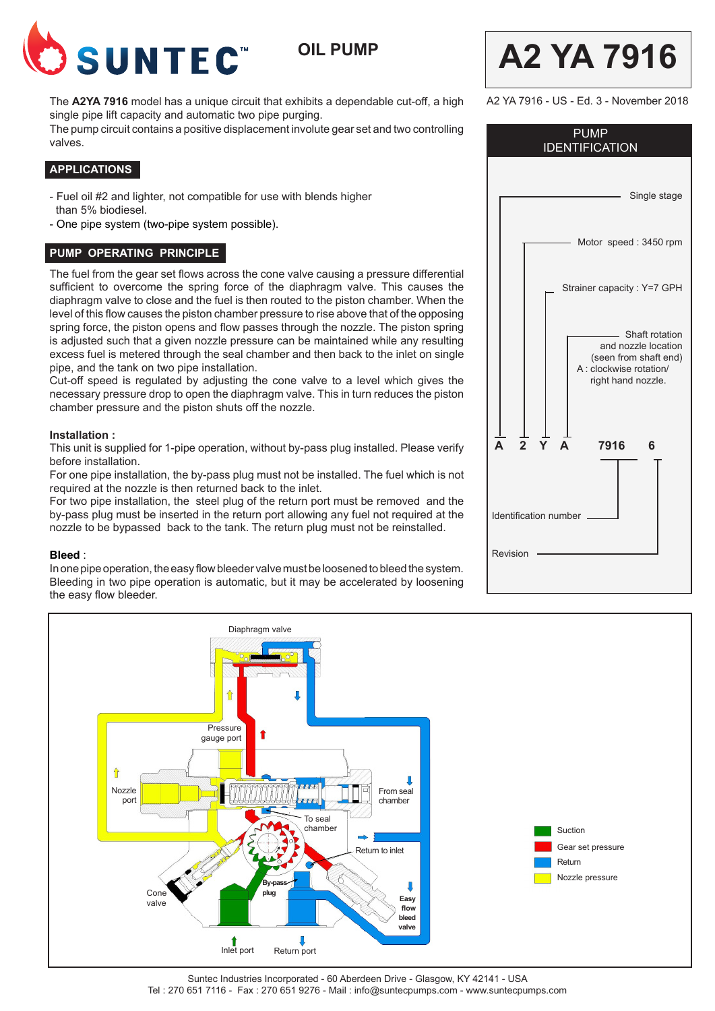

**OIL PUMP**

The **A2YA 7916** model has a unique circuit that exhibits a dependable cut-off, a high single pipe lift capacity and automatic two pipe purging.

The pump circuit contains a positive displacement involute gear set and two controlling valves.

# **APPLICATIONS**

- Fuel oil #2 and lighter, not compatible for use with blends higher than 5% biodiesel.
- One pipe system (two-pipe system possible).

## **PUMP OPERATING PRINCIPLE**

The fuel from the gear set flows across the cone valve causing a pressure differential sufficient to overcome the spring force of the diaphragm valve. This causes the diaphragm valve to close and the fuel is then routed to the piston chamber. When the level of this flow causes the piston chamber pressure to rise above that of the opposing spring force, the piston opens and flow passes through the nozzle. The piston spring is adjusted such that a given nozzle pressure can be maintained while any resulting excess fuel is metered through the seal chamber and then back to the inlet on single pipe, and the tank on two pipe installation.

Cut-off speed is regulated by adjusting the cone valve to a level which gives the necessary pressure drop to open the diaphragm valve. This in turn reduces the piston chamber pressure and the piston shuts off the nozzle.

### **Installation :**

This unit is supplied for 1-pipe operation, without by-pass plug installed. Please verify before installation.

For one pipe installation, the by-pass plug must not be installed. The fuel which is not required at the nozzle is then returned back to the inlet.

For two pipe installation, the steel plug of the return port must be removed and the by-pass plug must be inserted in the return port allowing any fuel not required at the nozzle to be bypassed back to the tank. The return plug must not be reinstalled.

#### **Bleed** :

In one pipe operation, the easy flow bleeder valve must be loosened to bleed the system. Bleeding in two pipe operation is automatic, but it may be accelerated by loosening the easy flow bleeder.

| <b>PUMP</b><br><b>IDENTIFICATION</b>                                                                              |
|-------------------------------------------------------------------------------------------------------------------|
| Single stage                                                                                                      |
| Motor speed: 3450 rpm                                                                                             |
| Strainer capacity : Y=7 GPH                                                                                       |
| - Shaft rotation<br>and nozzle location<br>(seen from shaft end)<br>A : clockwise rotation/<br>right hand nozzle. |
| $\Delta$<br>$\Delta$<br>7916<br>6                                                                                 |
| Identification number                                                                                             |
| Revision                                                                                                          |
|                                                                                                                   |

**A2 YA 7916**

A2 YA 7916 - US - Ed. 3 - November 2018